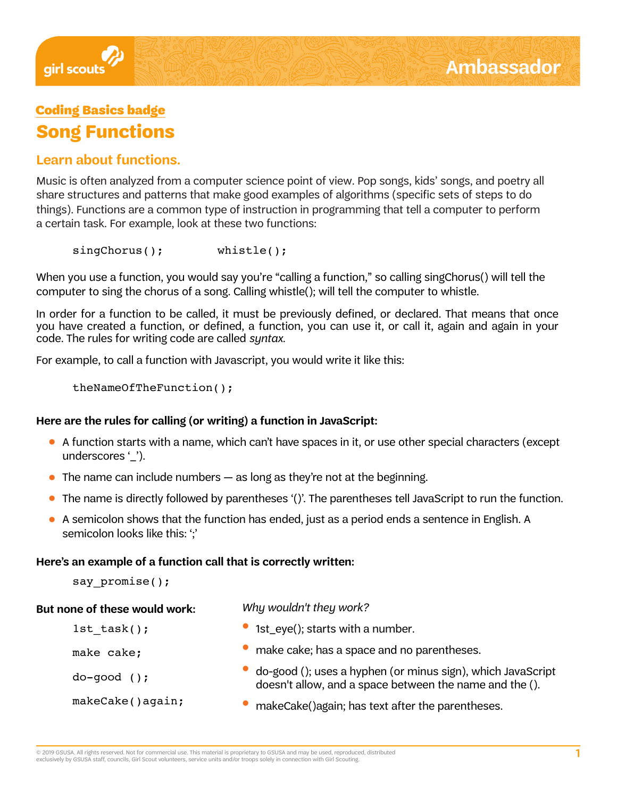

# Coding Basics badge **Song Functions**

# **Learn about functions.**

Music is often analyzed from a computer science point of view. Pop songs, kids' songs, and poetry all share structures and patterns that make good examples of algorithms (specific sets of steps to do things). Functions are a common type of instruction in programming that tell a computer to perform a certain task. For example, look at these two functions:

singChorus(); whistle();

When you use a function, you would say you're "calling a function," so calling singChorus() will tell the computer to sing the chorus of a song. Calling whistle(); will tell the computer to whistle.

In order for a function to be called, it must be previously defined, or declared. That means that once you have created a function, or defined, a function, you can use it, or call it, again and again in your code. The rules for writing code are called *syntax*.

For example, to call a function with Javascript, you would write it like this:

theNameOfTheFunction();

### **Here are the rules for calling (or writing) a function in JavaScript:**

- A function starts with a name, which can't have spaces in it, or use other special characters (except underscores '').
- $\bullet$  The name can include numbers  $-$  as long as they're not at the beginning.
- The name is directly followed by parentheses '()'. The parentheses tell JavaScript to run the function.
- A semicolon shows that the function has ended, just as a period ends a sentence in English. A semicolon looks like this: "

### **Here's an example of a function call that is correctly written:**

say promise();

#### **But none of these would work:**

#### Why wouldn't they work?

| $1st task()$ ;   | • 1st_eye(); starts with a number.                                                                                     |
|------------------|------------------------------------------------------------------------------------------------------------------------|
| make cake;       | make cake; has a space and no parentheses.                                                                             |
| $do-qood$ ();    | do-good (); uses a hyphen (or minus sign), which JavaScript<br>doesn't allow, and a space between the name and the (). |
| makeCake()again; | makeCake() again; has text after the parentheses.                                                                      |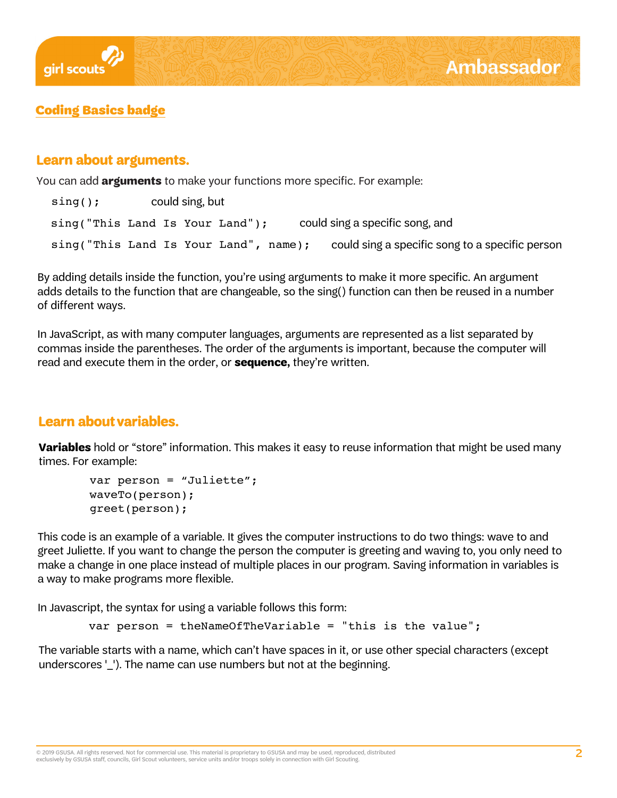

# Coding Basics badge

### **Learn about arguments.**

You can add **arguments** to make your functions more specific. For example:

| $sing()$ ;                      | could sing, but |                                       |                                                 |
|---------------------------------|-----------------|---------------------------------------|-------------------------------------------------|
| sing("This Land Is Your Land"); |                 |                                       | could sing a specific song, and                 |
|                                 |                 | sing("This Land Is Your Land", name); | could sing a specific song to a specific person |

By adding details inside the function, you're using arguments to make it more specific. An argument adds details to the function that are changeable, so the sing() function can then be reused in a number of different ways.

In JavaScript, as with many computer languages, arguments are represented as a list separated by commas inside the parentheses. The order of the arguments is important, because the computer will read and execute them in the order, or **sequence,** they're written.

# **Learn about variables.**

**Variables** hold or "store" information. This makes it easy to reuse information that might be used many times. For example:

```
var person = "Juliette";
waveTo(person);
greet(person);
```
This code is an example of a variable. It gives the computer instructions to do two things: wave to and greet Juliette. If you want to change the person the computer is greeting and waving to, you only need to make a change in one place instead of multiple places in our program. Saving information in variables is a way to make programs more flexible.

In Javascript, the syntax for using a variable follows this form:

```
var person = theNameOfTheVariable = "this is the value";
```
The variable starts with a name, which can't have spaces in it, or use other special characters (except underscores '\_'). The name can use numbers but not at the beginning.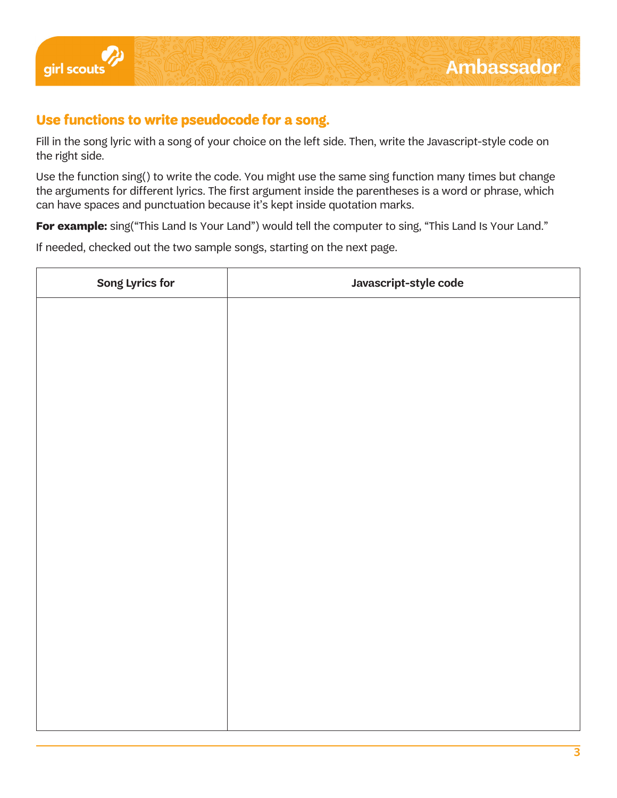

# **Use functions to write pseudocode for a song.**

Fill in the song lyric with a song of your choice on the left side. Then, write the Javascript-style code on the right side.

Use the function sing() to write the code. You might use the same sing function many times but change the arguments for different lyrics. The first argument inside the parentheses is a word or phrase, which can have spaces and punctuation because it's kept inside quotation marks.

For example: sing("This Land Is Your Land") would tell the computer to sing, "This Land Is Your Land."

If needed, checked out the two sample songs, starting on the next page.

| Song Lyrics for | Javascript-style code |
|-----------------|-----------------------|
|                 |                       |
|                 |                       |
|                 |                       |
|                 |                       |
|                 |                       |
|                 |                       |
|                 |                       |
|                 |                       |
|                 |                       |
|                 |                       |
|                 |                       |
|                 |                       |
|                 |                       |
|                 |                       |
|                 |                       |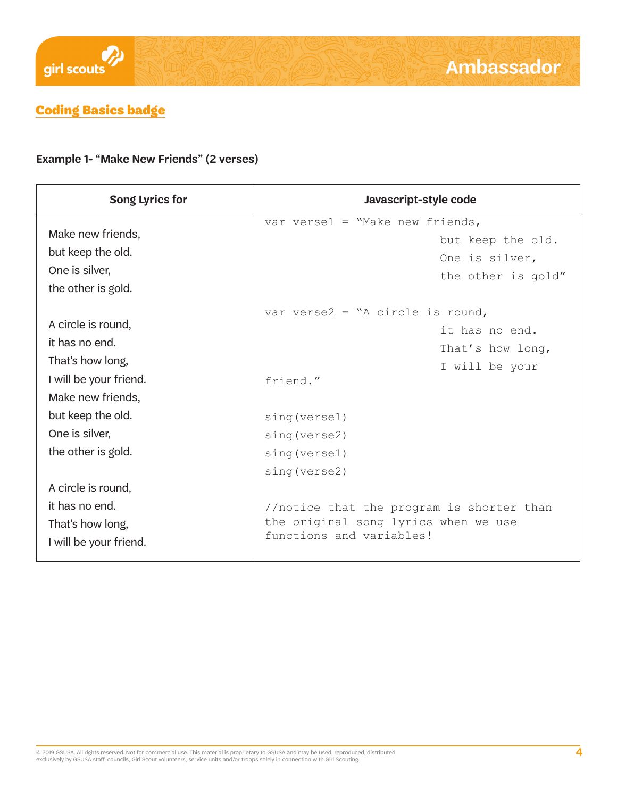

# Coding Basics badge

### **Example 1- "Make New Friends" (2 verses)**

| Song Lyrics for        | Javascript-style code                     |
|------------------------|-------------------------------------------|
| Make new friends,      | var versel = "Make new friends,           |
| but keep the old.      | but keep the old.                         |
| One is silver,         | One is silver,                            |
| the other is gold.     | the other is gold"                        |
| A circle is round,     | var verse $2 = "A circle is round,$       |
| it has no end.         | it has no end.                            |
| That's how long,       | That's how long,                          |
| I will be your friend. | I will be your                            |
| Make new friends,      | friend."                                  |
| but keep the old.      | sing (versel)                             |
| One is silver,         | sing (verse2)                             |
| the other is gold.     | sing (versel)                             |
| A circle is round,     | sing (verse2)                             |
| it has no end.         | //notice that the program is shorter than |
| That's how long,       | the original song lyrics when we use      |
| I will be your friend. | functions and variables!                  |